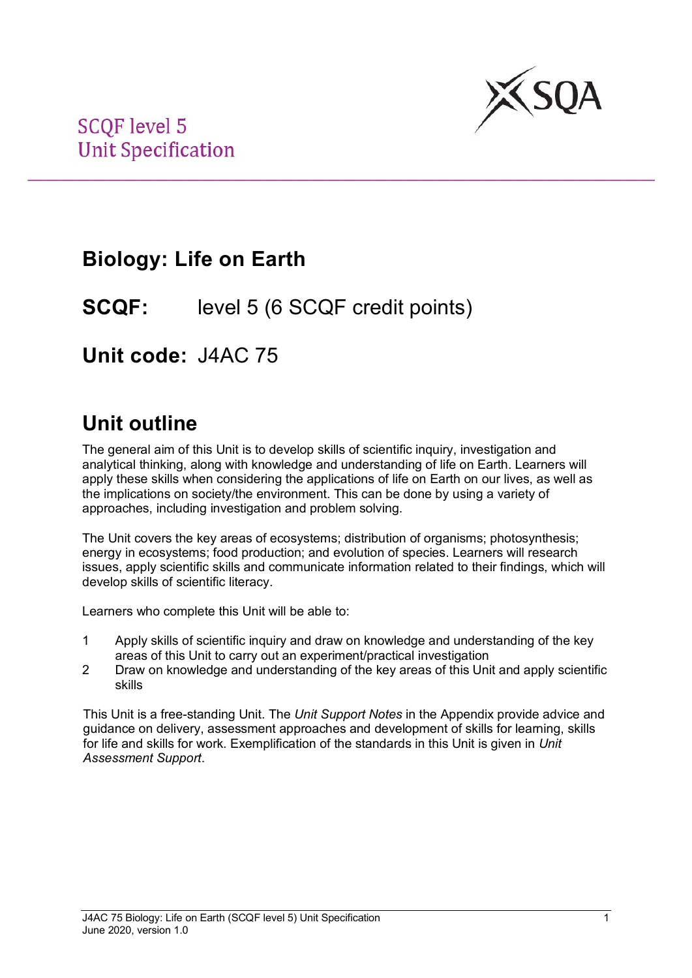

## **Biology: Life on Earth**

**SCQF:** level 5 (6 SCQF credit points)

**Unit code:** J4AC 75

## **Unit outline**

The general aim of this Unit is to develop skills of scientific inquiry, investigation and analytical thinking, along with knowledge and understanding of life on Earth. Learners will apply these skills when considering the applications of life on Earth on our lives, as well as the implications on society/the environment. This can be done by using a variety of approaches, including investigation and problem solving.

The Unit covers the key areas of ecosystems; distribution of organisms; photosynthesis; energy in ecosystems; food production; and evolution of species. Learners will research issues, apply scientific skills and communicate information related to their findings, which will develop skills of scientific literacy.

Learners who complete this Unit will be able to:

- 1 Apply skills of scientific inquiry and draw on knowledge and understanding of the key areas of this Unit to carry out an experiment/practical investigation
- 2 Draw on knowledge and understanding of the key areas of this Unit and apply scientific skills

This Unit is a free-standing Unit. The *Unit Support Notes* in the Appendix provide advice and guidance on delivery, assessment approaches and development of skills for learning, skills for life and skills for work. Exemplification of the standards in this Unit is given in *Unit Assessment Support*.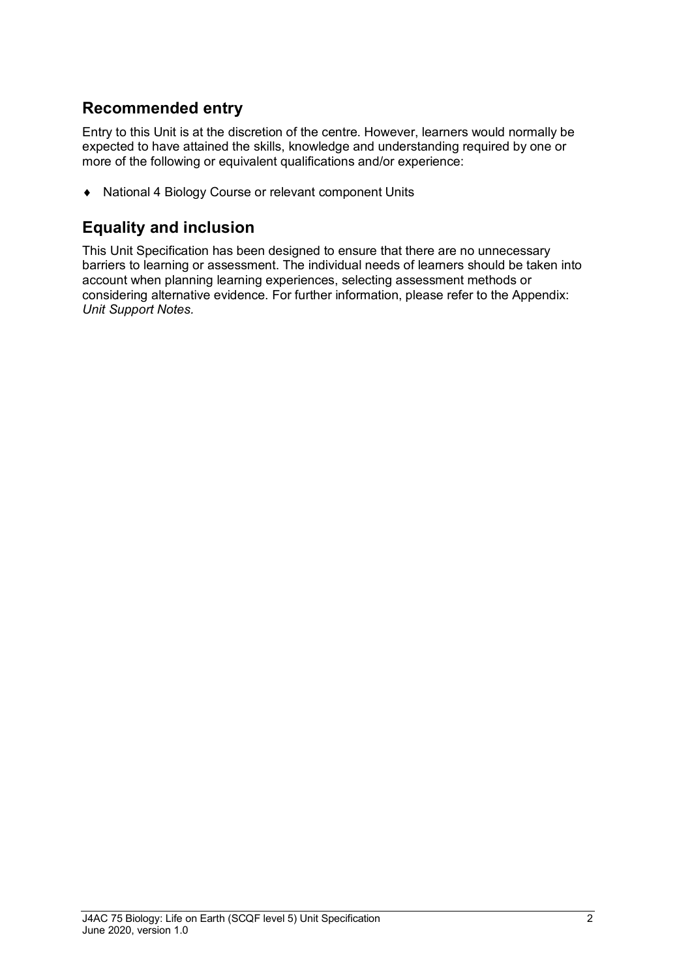### **Recommended entry**

Entry to this Unit is at the discretion of the centre. However, learners would normally be expected to have attained the skills, knowledge and understanding required by one or more of the following or equivalent qualifications and/or experience:

♦ National 4 Biology Course or relevant component Units

### **Equality and inclusion**

This Unit Specification has been designed to ensure that there are no unnecessary barriers to learning or assessment. The individual needs of learners should be taken into account when planning learning experiences, selecting assessment methods or considering alternative evidence. For further information, please refer to the Appendix: *Unit Support Notes.*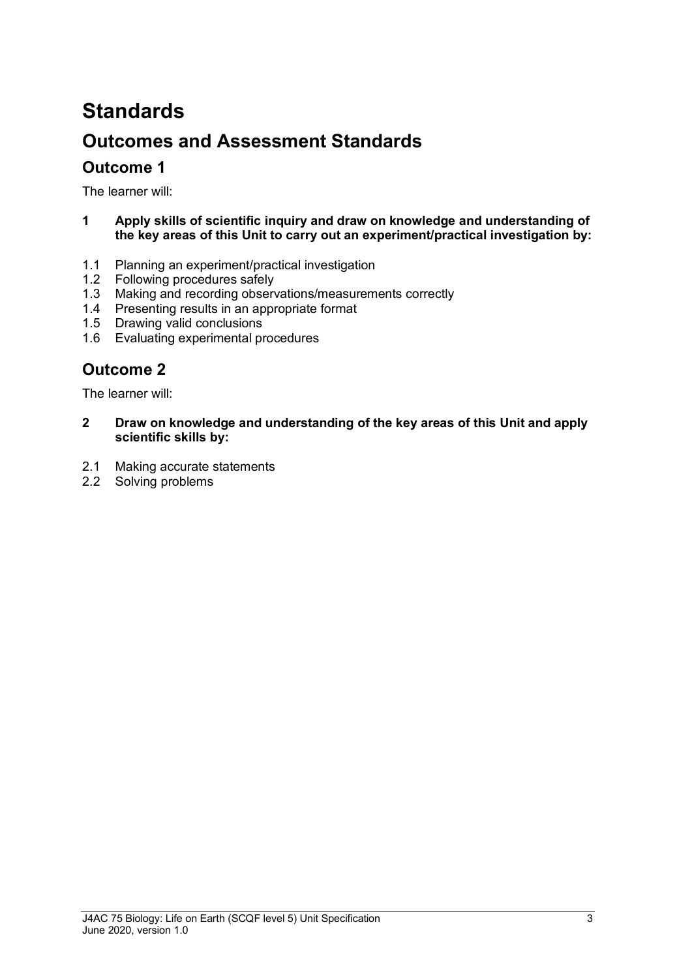# **Standards Outcomes and Assessment Standards**

### **Outcome 1**

The learner will:

- **1 Apply skills of scientific inquiry and draw on knowledge and understanding of the key areas of this Unit to carry out an experiment/practical investigation by:**
- 1.1 Planning an experiment/practical investigation<br>1.2 Following procedures safely
- Following procedures safely
- 1.3 Making and recording observations/measurements correctly
- 1.4 Presenting results in an appropriate format
- 1.5 Drawing valid conclusions
- 1.6 Evaluating experimental procedures

### **Outcome 2**

The learner will:

- **2 Draw on knowledge and understanding of the key areas of this Unit and apply scientific skills by:**
- 2.1 Making accurate statements
- 2.2 Solving problems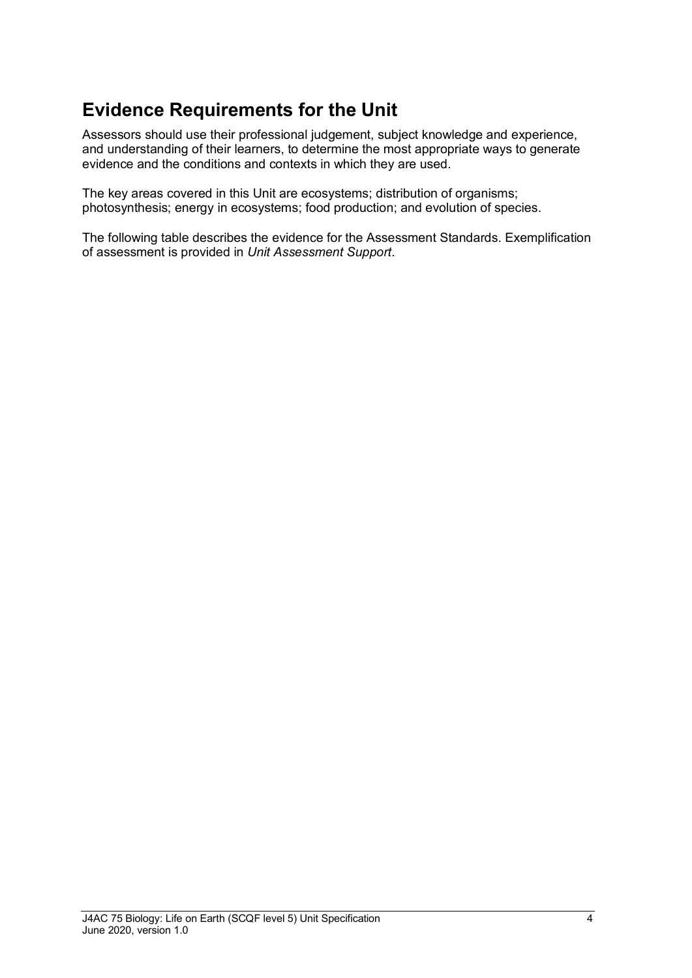### **Evidence Requirements for the Unit**

Assessors should use their professional judgement, subject knowledge and experience, and understanding of their learners, to determine the most appropriate ways to generate evidence and the conditions and contexts in which they are used.

The key areas covered in this Unit are ecosystems; distribution of organisms; photosynthesis; energy in ecosystems; food production; and evolution of species.

The following table describes the evidence for the Assessment Standards. Exemplification of assessment is provided in *Unit Assessment Support*.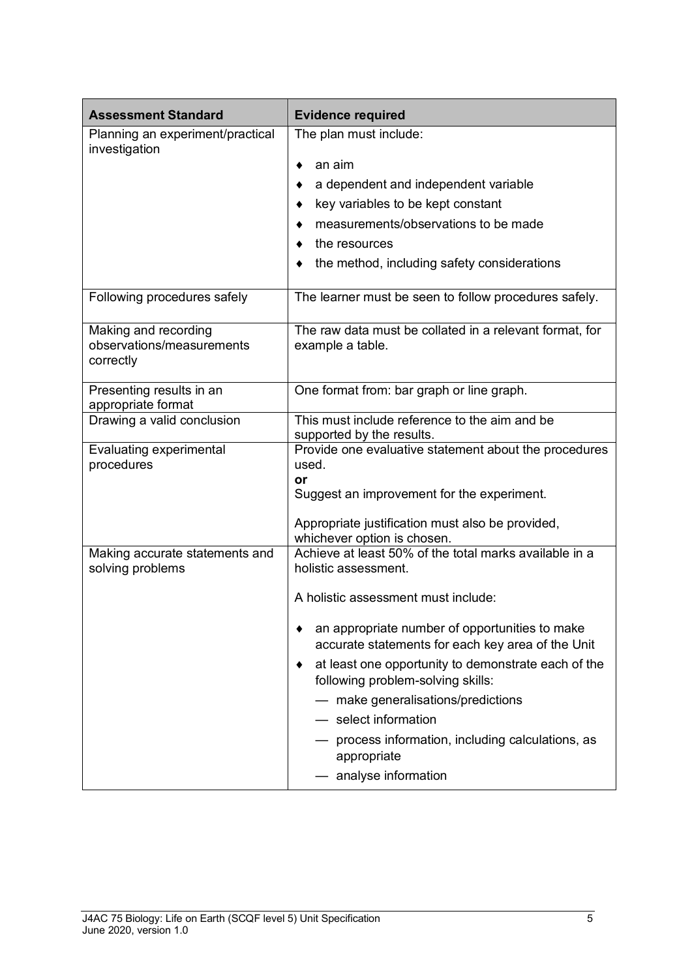| <b>Assessment Standard</b>                                     | <b>Evidence required</b>                                                                                                                                                                                                                                                                                                                                                               |  |  |
|----------------------------------------------------------------|----------------------------------------------------------------------------------------------------------------------------------------------------------------------------------------------------------------------------------------------------------------------------------------------------------------------------------------------------------------------------------------|--|--|
| Planning an experiment/practical<br>investigation              | The plan must include:<br>an aim<br>٠<br>a dependent and independent variable<br>key variables to be kept constant<br>measurements/observations to be made<br>the resources<br>the method, including safety considerations                                                                                                                                                             |  |  |
| Following procedures safely                                    | The learner must be seen to follow procedures safely.                                                                                                                                                                                                                                                                                                                                  |  |  |
| Making and recording<br>observations/measurements<br>correctly | The raw data must be collated in a relevant format, for<br>example a table.                                                                                                                                                                                                                                                                                                            |  |  |
| Presenting results in an<br>appropriate format                 | One format from: bar graph or line graph.                                                                                                                                                                                                                                                                                                                                              |  |  |
| Drawing a valid conclusion                                     | This must include reference to the aim and be<br>supported by the results.                                                                                                                                                                                                                                                                                                             |  |  |
| Evaluating experimental<br>procedures                          | Provide one evaluative statement about the procedures<br>used.<br>or<br>Suggest an improvement for the experiment.<br>Appropriate justification must also be provided,<br>whichever option is chosen.                                                                                                                                                                                  |  |  |
| Making accurate statements and<br>solving problems             | Achieve at least 50% of the total marks available in a<br>holistic assessment.<br>A holistic assessment must include:<br>an appropriate number of opportunities to make<br>accurate statements for each key area of the Unit<br>at least one opportunity to demonstrate each of the<br>following problem-solving skills:<br>- make generalisations/predictions<br>- select information |  |  |
|                                                                | process information, including calculations, as<br>appropriate<br>analyse information                                                                                                                                                                                                                                                                                                  |  |  |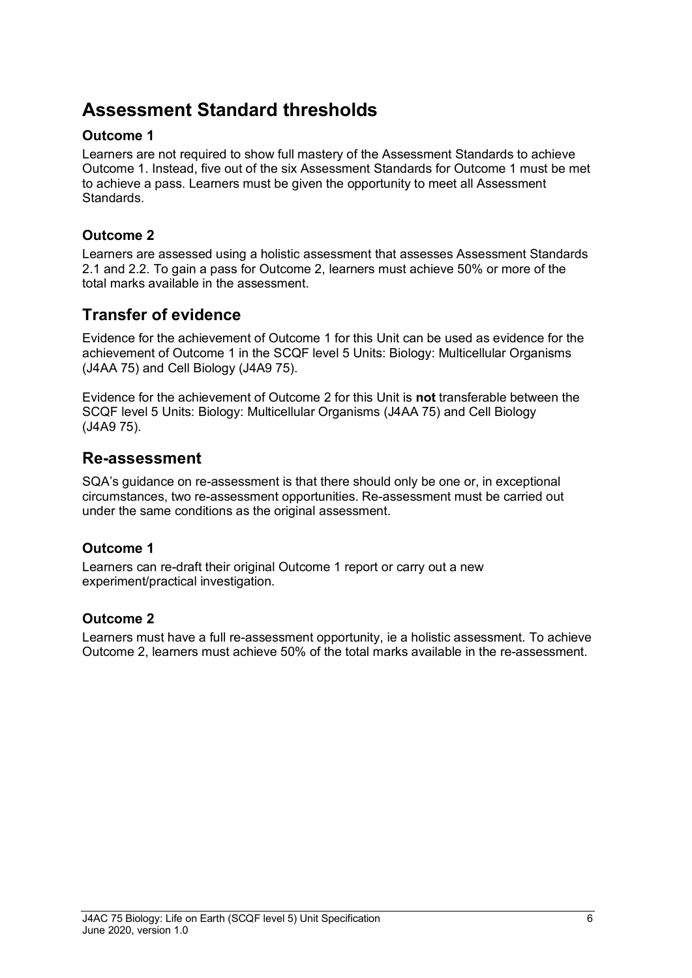### **Assessment Standard thresholds**

#### **Outcome 1**

Learners are not required to show full mastery of the Assessment Standards to achieve Outcome 1. Instead, five out of the six Assessment Standards for Outcome 1 must be met to achieve a pass. Learners must be given the opportunity to meet all Assessment Standards.

#### **Outcome 2**

Learners are assessed using a holistic assessment that assesses Assessment Standards 2.1 and 2.2. To gain a pass for Outcome 2, learners must achieve 50% or more of the total marks available in the assessment.

### **Transfer of evidence**

Evidence for the achievement of Outcome 1 for this Unit can be used as evidence for the achievement of Outcome 1 in the SCQF level 5 Units: Biology: Multicellular Organisms (J4AA 75) and Cell Biology (J4A9 75).

Evidence for the achievement of Outcome 2 for this Unit is **not** transferable between the SCQF level 5 Units: Biology: Multicellular Organisms (J4AA 75) and Cell Biology (J4A9 75).

### **Re-assessment**

SQA's guidance on re-assessment is that there should only be one or, in exceptional circumstances, two re-assessment opportunities. Re-assessment must be carried out under the same conditions as the original assessment.

#### **Outcome 1**

Learners can re-draft their original Outcome 1 report or carry out a new experiment/practical investigation.

#### **Outcome 2**

Learners must have a full re-assessment opportunity, ie a holistic assessment. To achieve Outcome 2, learners must achieve 50% of the total marks available in the re-assessment.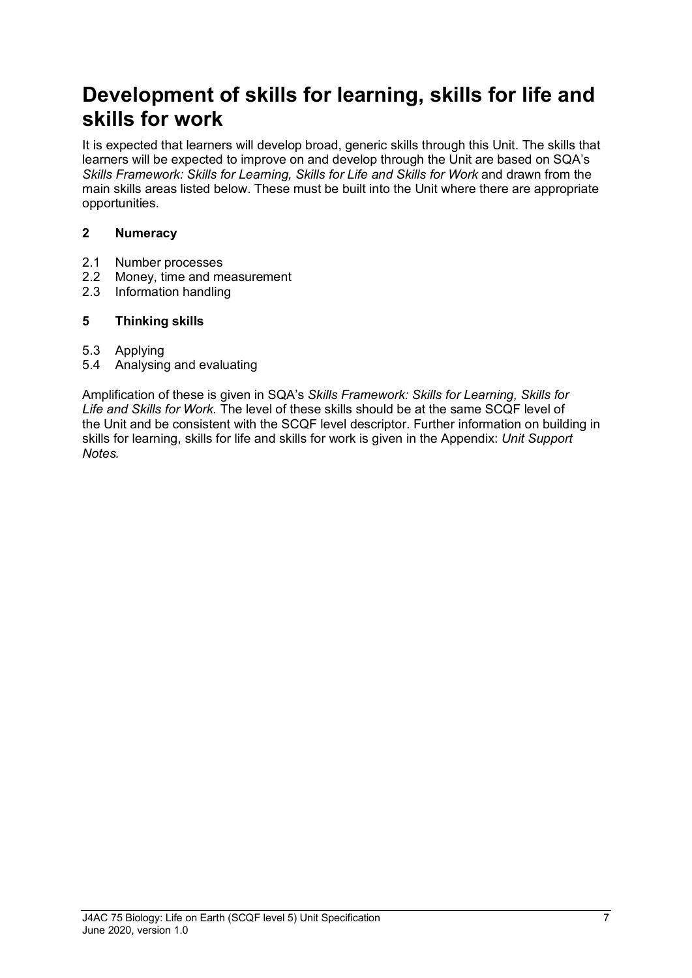## **Development of skills for learning, skills for life and skills for work**

It is expected that learners will develop broad, generic skills through this Unit. The skills that learners will be expected to improve on and develop through the Unit are based on SQA's **Skills Framework: Skills for Learning, Skills for Life and Skills for Work and drawn from the** main skills areas listed below. These must be built into the Unit where there are appropriate opportunities.

#### **2 Numeracy**

- 2.1 Number processes
- 2.2 Money, time and measurement
- 2.3 Information handling

#### **5 Thinking skills**

- 5.3 Applying
- 5.4 Analysing and evaluating

Amplification of these is given in SQA's *Skills Framework: Skills for Learning, Skills for Life and Skills for Work.* The level of these skills should be at the same SCQF level of the Unit and be consistent with the SCQF level descriptor. Further information on building in skills for learning, skills for life and skills for work is given in the Appendix: *Unit Support Notes.*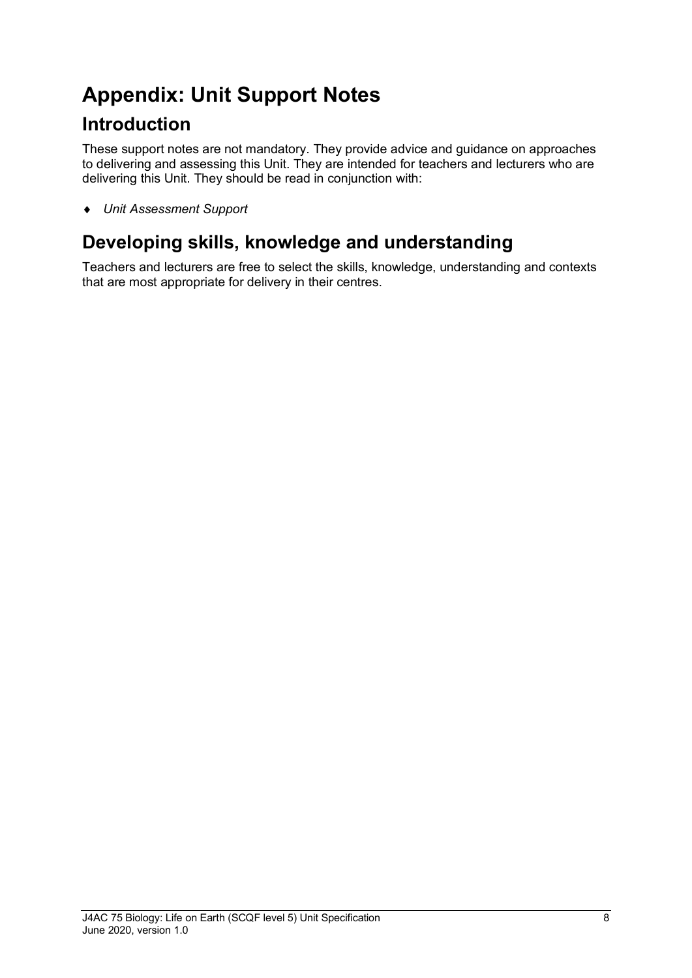## **Appendix: Unit Support Notes**

## **Introduction**

These support notes are not mandatory. They provide advice and guidance on approaches to delivering and assessing this Unit. They are intended for teachers and lecturers who are delivering this Unit. They should be read in conjunction with:

♦ *Unit Assessment Support*

## **Developing skills, knowledge and understanding**

Teachers and lecturers are free to select the skills, knowledge, understanding and contexts that are most appropriate for delivery in their centres.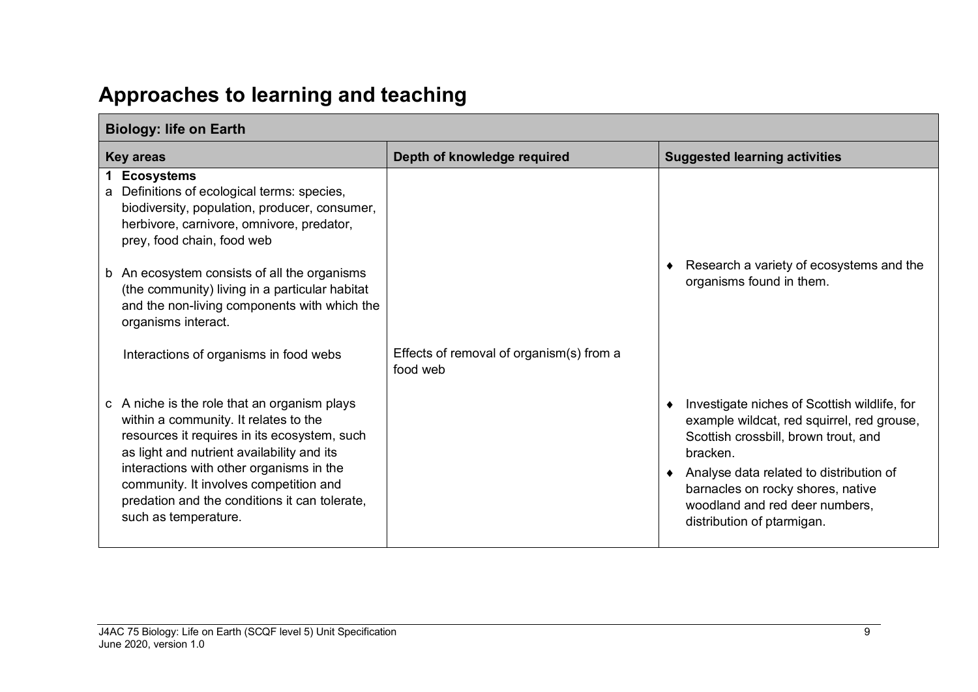## **Approaches to learning and teaching**

| <b>Biology: life on Earth</b>                                                                                                                                                                                                                                                                                                                      |                                                      |                                                                                                                                                                                                                                                                                                |  |
|----------------------------------------------------------------------------------------------------------------------------------------------------------------------------------------------------------------------------------------------------------------------------------------------------------------------------------------------------|------------------------------------------------------|------------------------------------------------------------------------------------------------------------------------------------------------------------------------------------------------------------------------------------------------------------------------------------------------|--|
| <b>Key areas</b>                                                                                                                                                                                                                                                                                                                                   | Depth of knowledge required                          | <b>Suggested learning activities</b>                                                                                                                                                                                                                                                           |  |
| <b>Ecosystems</b><br>1<br>Definitions of ecological terms: species,<br>a<br>biodiversity, population, producer, consumer,<br>herbivore, carnivore, omnivore, predator,<br>prey, food chain, food web                                                                                                                                               |                                                      |                                                                                                                                                                                                                                                                                                |  |
| An ecosystem consists of all the organisms<br>b<br>(the community) living in a particular habitat<br>and the non-living components with which the<br>organisms interact.                                                                                                                                                                           |                                                      | Research a variety of ecosystems and the<br>organisms found in them.                                                                                                                                                                                                                           |  |
| Interactions of organisms in food webs                                                                                                                                                                                                                                                                                                             | Effects of removal of organism(s) from a<br>food web |                                                                                                                                                                                                                                                                                                |  |
| c A niche is the role that an organism plays<br>within a community. It relates to the<br>resources it requires in its ecosystem, such<br>as light and nutrient availability and its<br>interactions with other organisms in the<br>community. It involves competition and<br>predation and the conditions it can tolerate,<br>such as temperature. |                                                      | Investigate niches of Scottish wildlife, for<br>example wildcat, red squirrel, red grouse,<br>Scottish crossbill, brown trout, and<br>bracken.<br>Analyse data related to distribution of<br>barnacles on rocky shores, native<br>woodland and red deer numbers,<br>distribution of ptarmigan. |  |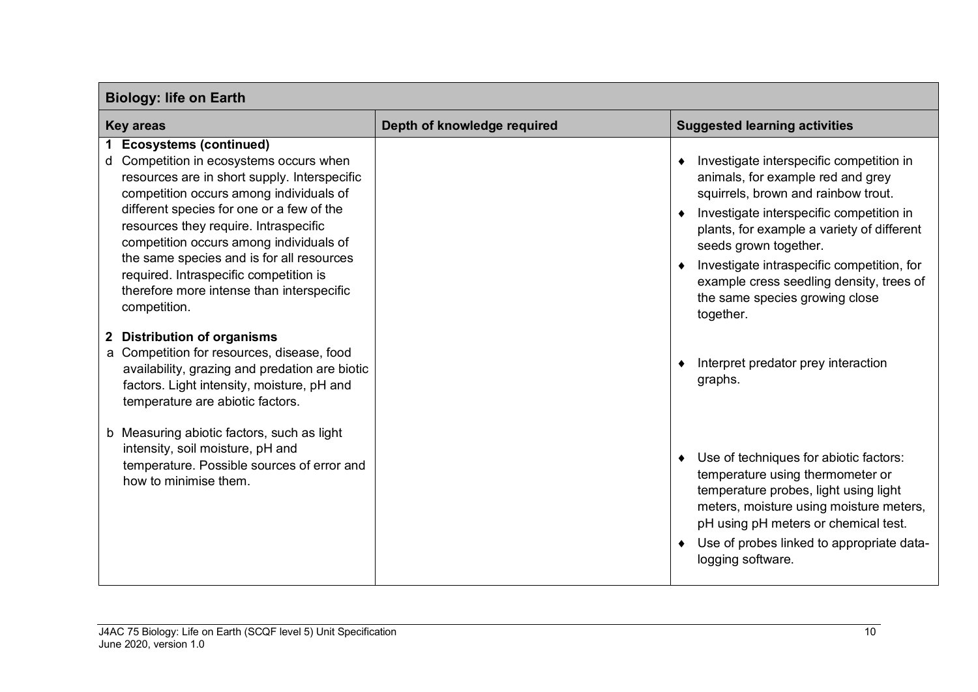| <b>Biology: life on Earth</b>                                                                                                                                                                                                                                                                                                                                                                                                                               |                             |                                                                                                                                                                                                                                                                                                                                                                                               |  |
|-------------------------------------------------------------------------------------------------------------------------------------------------------------------------------------------------------------------------------------------------------------------------------------------------------------------------------------------------------------------------------------------------------------------------------------------------------------|-----------------------------|-----------------------------------------------------------------------------------------------------------------------------------------------------------------------------------------------------------------------------------------------------------------------------------------------------------------------------------------------------------------------------------------------|--|
| <b>Key areas</b>                                                                                                                                                                                                                                                                                                                                                                                                                                            | Depth of knowledge required | <b>Suggested learning activities</b>                                                                                                                                                                                                                                                                                                                                                          |  |
| <b>Ecosystems (continued)</b><br>Competition in ecosystems occurs when<br>d<br>resources are in short supply. Interspecific<br>competition occurs among individuals of<br>different species for one or a few of the<br>resources they require. Intraspecific<br>competition occurs among individuals of<br>the same species and is for all resources<br>required. Intraspecific competition is<br>therefore more intense than interspecific<br>competition. |                             | Investigate interspecific competition in<br>$\bullet$<br>animals, for example red and grey<br>squirrels, brown and rainbow trout.<br>Investigate interspecific competition in<br>plants, for example a variety of different<br>seeds grown together.<br>Investigate intraspecific competition, for<br>example cress seedling density, trees of<br>the same species growing close<br>together. |  |
| 2 Distribution of organisms<br>a Competition for resources, disease, food<br>availability, grazing and predation are biotic<br>factors. Light intensity, moisture, pH and<br>temperature are abiotic factors.                                                                                                                                                                                                                                               |                             | Interpret predator prey interaction<br>graphs.                                                                                                                                                                                                                                                                                                                                                |  |
| b Measuring abiotic factors, such as light<br>intensity, soil moisture, pH and<br>temperature. Possible sources of error and<br>how to minimise them.                                                                                                                                                                                                                                                                                                       |                             | Use of techniques for abiotic factors:<br>$\bullet$<br>temperature using thermometer or<br>temperature probes, light using light<br>meters, moisture using moisture meters,<br>pH using pH meters or chemical test.<br>Use of probes linked to appropriate data-<br>logging software.                                                                                                         |  |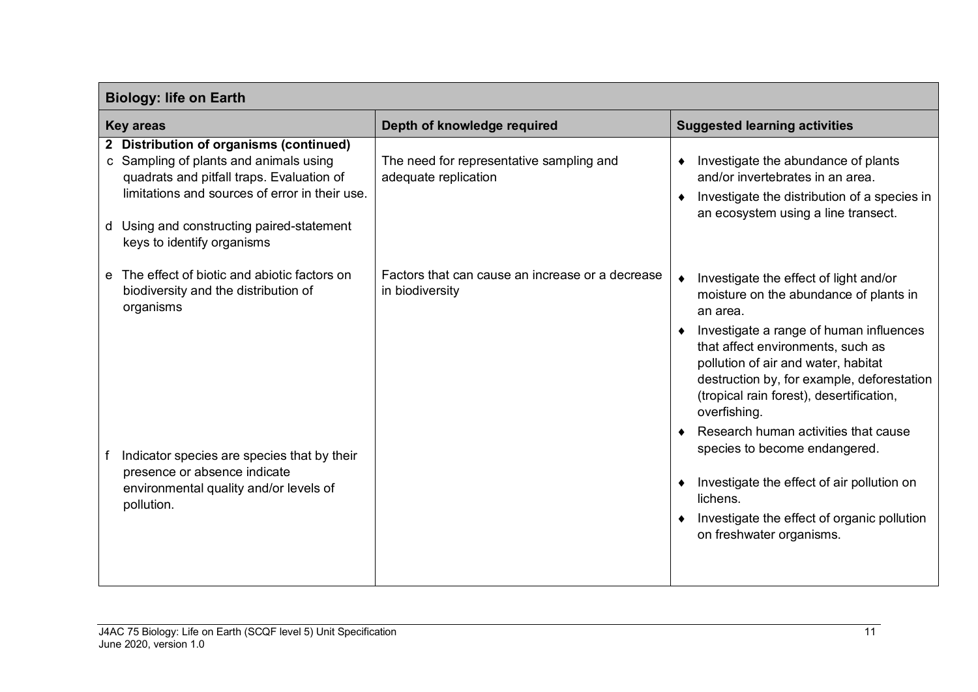| <b>Biology: life on Earth</b>                                                                                                                                                                                                                                  |                                                                     |                                                                                                                                                                                                                                                                                                                                                                       |  |
|----------------------------------------------------------------------------------------------------------------------------------------------------------------------------------------------------------------------------------------------------------------|---------------------------------------------------------------------|-----------------------------------------------------------------------------------------------------------------------------------------------------------------------------------------------------------------------------------------------------------------------------------------------------------------------------------------------------------------------|--|
| <b>Key areas</b>                                                                                                                                                                                                                                               | Depth of knowledge required                                         | <b>Suggested learning activities</b>                                                                                                                                                                                                                                                                                                                                  |  |
| 2 Distribution of organisms (continued)<br>c Sampling of plants and animals using<br>quadrats and pitfall traps. Evaluation of<br>limitations and sources of error in their use.<br>Using and constructing paired-statement<br>d<br>keys to identify organisms | The need for representative sampling and<br>adequate replication    | Investigate the abundance of plants<br>and/or invertebrates in an area.<br>Investigate the distribution of a species in<br>an ecosystem using a line transect.                                                                                                                                                                                                        |  |
| The effect of biotic and abiotic factors on<br>$\mathbf{e}$<br>biodiversity and the distribution of<br>organisms                                                                                                                                               | Factors that can cause an increase or a decrease<br>in biodiversity | Investigate the effect of light and/or<br>moisture on the abundance of plants in<br>an area.<br>Investigate a range of human influences<br>that affect environments, such as<br>pollution of air and water, habitat<br>destruction by, for example, deforestation<br>(tropical rain forest), desertification,<br>overfishing.<br>Research human activities that cause |  |
| Indicator species are species that by their<br>presence or absence indicate<br>environmental quality and/or levels of<br>pollution.                                                                                                                            |                                                                     | species to become endangered.<br>Investigate the effect of air pollution on<br>lichens.<br>Investigate the effect of organic pollution<br>on freshwater organisms.                                                                                                                                                                                                    |  |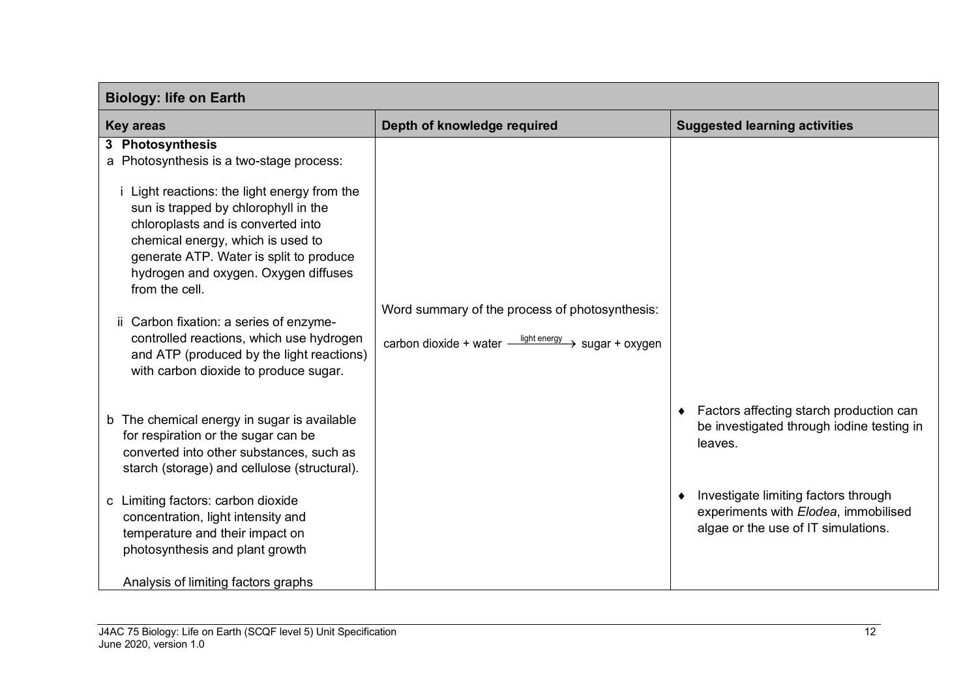| <b>Biology: life on Earth</b>                                                                                                                                                                                                                                                                                                               |                                                                                                                             |                                                                                                                     |  |
|---------------------------------------------------------------------------------------------------------------------------------------------------------------------------------------------------------------------------------------------------------------------------------------------------------------------------------------------|-----------------------------------------------------------------------------------------------------------------------------|---------------------------------------------------------------------------------------------------------------------|--|
| <b>Key areas</b>                                                                                                                                                                                                                                                                                                                            | Depth of knowledge required                                                                                                 | <b>Suggested learning activities</b>                                                                                |  |
| 3 Photosynthesis<br>a Photosynthesis is a two-stage process:<br><i>i</i> Light reactions: the light energy from the<br>sun is trapped by chlorophyll in the<br>chloroplasts and is converted into<br>chemical energy, which is used to<br>generate ATP. Water is split to produce<br>hydrogen and oxygen. Oxygen diffuses<br>from the cell. |                                                                                                                             |                                                                                                                     |  |
| ii Carbon fixation: a series of enzyme-<br>controlled reactions, which use hydrogen<br>and ATP (produced by the light reactions)<br>with carbon dioxide to produce sugar.                                                                                                                                                                   | Word summary of the process of photosynthesis:<br>carbon dioxide + water $\frac{$ light energy $\rightarrow$ sugar + oxygen |                                                                                                                     |  |
| b The chemical energy in sugar is available<br>for respiration or the sugar can be<br>converted into other substances, such as<br>starch (storage) and cellulose (structural).                                                                                                                                                              |                                                                                                                             | Factors affecting starch production can<br>$\bullet$<br>be investigated through iodine testing in<br>leaves.        |  |
| c Limiting factors: carbon dioxide<br>concentration, light intensity and<br>temperature and their impact on<br>photosynthesis and plant growth                                                                                                                                                                                              |                                                                                                                             | Investigate limiting factors through<br>experiments with Elodea, immobilised<br>algae or the use of IT simulations. |  |
| Analysis of limiting factors graphs                                                                                                                                                                                                                                                                                                         |                                                                                                                             |                                                                                                                     |  |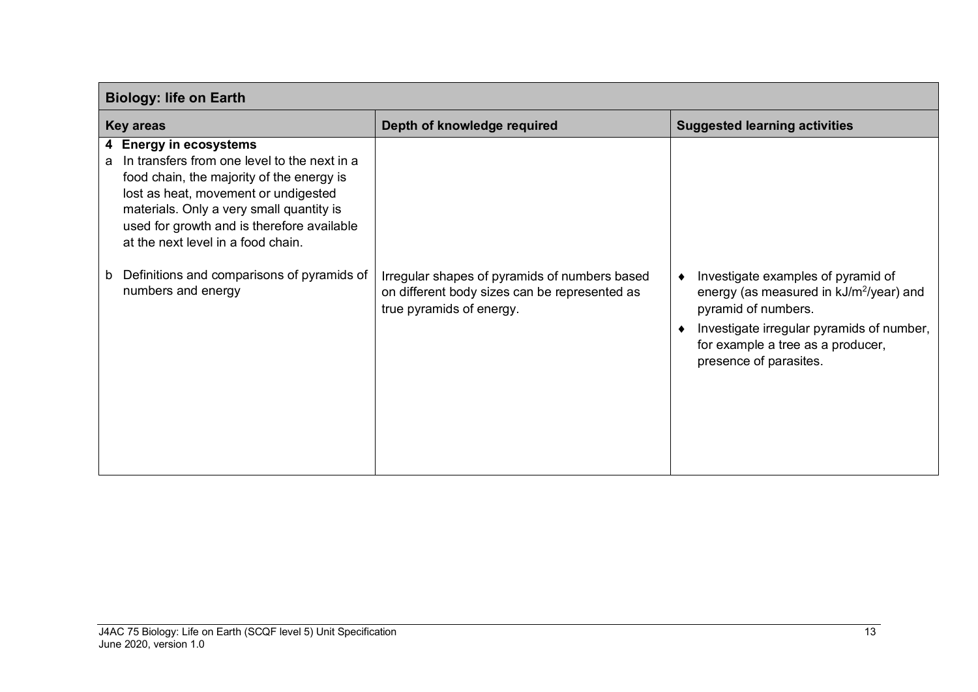| <b>Biology: life on Earth</b>                                                                                                                                                                                                                                                                    |                                                                                                                            |                                                                                                                                                                                                                              |  |
|--------------------------------------------------------------------------------------------------------------------------------------------------------------------------------------------------------------------------------------------------------------------------------------------------|----------------------------------------------------------------------------------------------------------------------------|------------------------------------------------------------------------------------------------------------------------------------------------------------------------------------------------------------------------------|--|
| <b>Key areas</b>                                                                                                                                                                                                                                                                                 | Depth of knowledge required                                                                                                | <b>Suggested learning activities</b>                                                                                                                                                                                         |  |
| 4 Energy in ecosystems<br>In transfers from one level to the next in a<br>a<br>food chain, the majority of the energy is<br>lost as heat, movement or undigested<br>materials. Only a very small quantity is<br>used for growth and is therefore available<br>at the next level in a food chain. |                                                                                                                            |                                                                                                                                                                                                                              |  |
| Definitions and comparisons of pyramids of<br>b<br>numbers and energy                                                                                                                                                                                                                            | Irregular shapes of pyramids of numbers based<br>on different body sizes can be represented as<br>true pyramids of energy. | Investigate examples of pyramid of<br>energy (as measured in kJ/m <sup>2</sup> /year) and<br>pyramid of numbers.<br>Investigate irregular pyramids of number,<br>for example a tree as a producer,<br>presence of parasites. |  |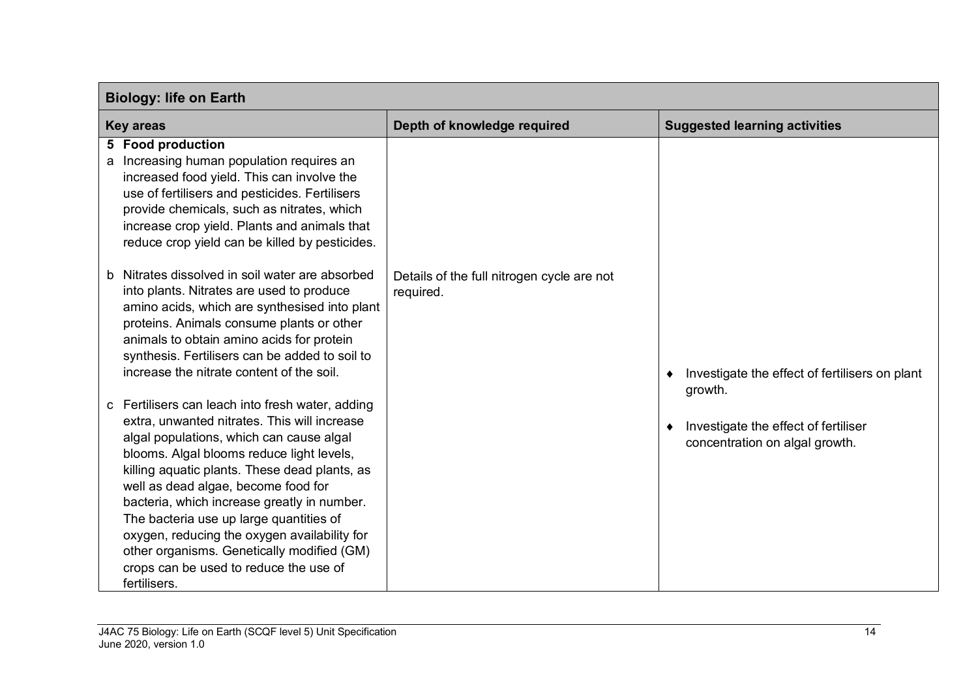| <b>Biology: life on Earth</b>                                                                                                                                                                                                                                                                                                                                                                                                                                                                                                       |                                                         |                                                                        |  |
|-------------------------------------------------------------------------------------------------------------------------------------------------------------------------------------------------------------------------------------------------------------------------------------------------------------------------------------------------------------------------------------------------------------------------------------------------------------------------------------------------------------------------------------|---------------------------------------------------------|------------------------------------------------------------------------|--|
| <b>Key areas</b>                                                                                                                                                                                                                                                                                                                                                                                                                                                                                                                    | Depth of knowledge required                             | <b>Suggested learning activities</b>                                   |  |
| 5 Food production<br>Increasing human population requires an<br>a<br>increased food yield. This can involve the<br>use of fertilisers and pesticides. Fertilisers<br>provide chemicals, such as nitrates, which<br>increase crop yield. Plants and animals that<br>reduce crop yield can be killed by pesticides.                                                                                                                                                                                                                   |                                                         |                                                                        |  |
| Nitrates dissolved in soil water are absorbed<br>into plants. Nitrates are used to produce<br>amino acids, which are synthesised into plant<br>proteins. Animals consume plants or other<br>animals to obtain amino acids for protein<br>synthesis. Fertilisers can be added to soil to<br>increase the nitrate content of the soil.                                                                                                                                                                                                | Details of the full nitrogen cycle are not<br>required. | Investigate the effect of fertilisers on plant<br>growth.              |  |
| c Fertilisers can leach into fresh water, adding<br>extra, unwanted nitrates. This will increase<br>algal populations, which can cause algal<br>blooms. Algal blooms reduce light levels,<br>killing aquatic plants. These dead plants, as<br>well as dead algae, become food for<br>bacteria, which increase greatly in number.<br>The bacteria use up large quantities of<br>oxygen, reducing the oxygen availability for<br>other organisms. Genetically modified (GM)<br>crops can be used to reduce the use of<br>fertilisers. |                                                         | Investigate the effect of fertiliser<br>concentration on algal growth. |  |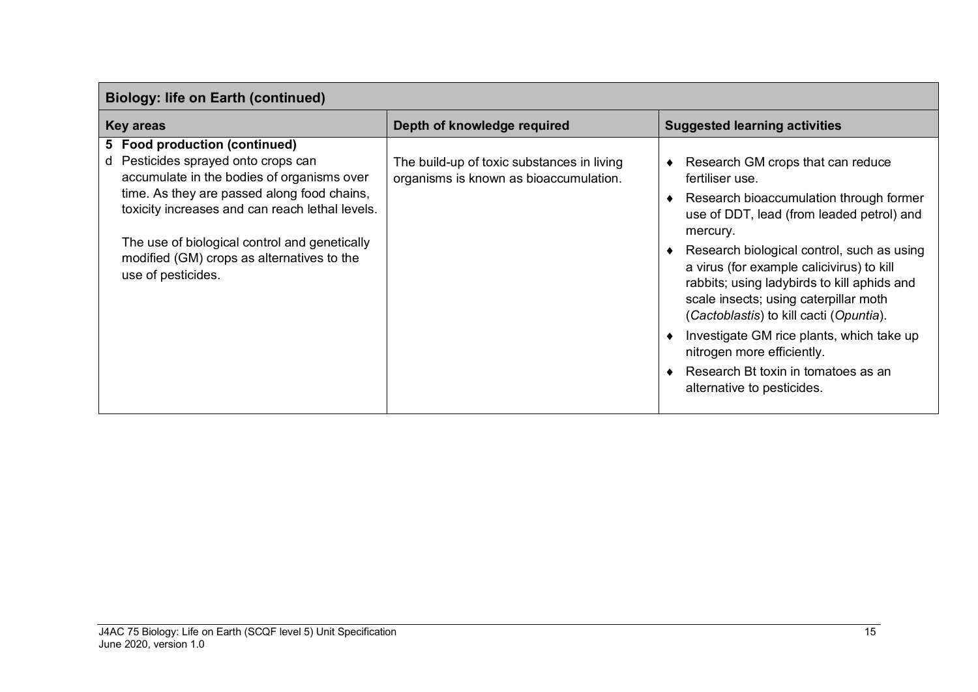| <b>Biology: life on Earth (continued)</b>                                                                                                                                                                                                                                                                                                    |                                                                                      |                                                                                                                                                                                                                                                                                                                                                                                                                                                                                                                                        |  |  |
|----------------------------------------------------------------------------------------------------------------------------------------------------------------------------------------------------------------------------------------------------------------------------------------------------------------------------------------------|--------------------------------------------------------------------------------------|----------------------------------------------------------------------------------------------------------------------------------------------------------------------------------------------------------------------------------------------------------------------------------------------------------------------------------------------------------------------------------------------------------------------------------------------------------------------------------------------------------------------------------------|--|--|
| <b>Key areas</b>                                                                                                                                                                                                                                                                                                                             | Depth of knowledge required                                                          | <b>Suggested learning activities</b>                                                                                                                                                                                                                                                                                                                                                                                                                                                                                                   |  |  |
| 5 Food production (continued)<br>Pesticides sprayed onto crops can<br>d<br>accumulate in the bodies of organisms over<br>time. As they are passed along food chains,<br>toxicity increases and can reach lethal levels.<br>The use of biological control and genetically<br>modified (GM) crops as alternatives to the<br>use of pesticides. | The build-up of toxic substances in living<br>organisms is known as bioaccumulation. | Research GM crops that can reduce<br>fertiliser use.<br>Research bioaccumulation through former<br>use of DDT, lead (from leaded petrol) and<br>mercury.<br>Research biological control, such as using<br>a virus (for example calicivirus) to kill<br>rabbits; using ladybirds to kill aphids and<br>scale insects; using caterpillar moth<br>(Cactoblastis) to kill cacti (Opuntia).<br>Investigate GM rice plants, which take up<br>nitrogen more efficiently.<br>Research Bt toxin in tomatoes as an<br>alternative to pesticides. |  |  |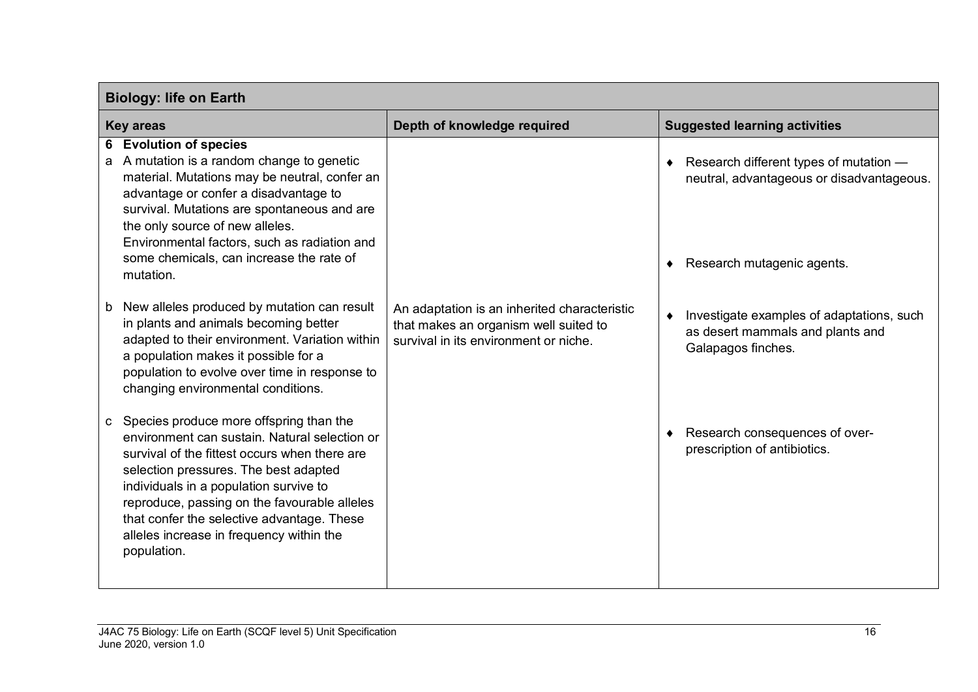| <b>Biology: life on Earth</b>                                                                                                                                                                                                                                                                                                                                                                         |                                                                                                                                |                                                                                                                   |  |
|-------------------------------------------------------------------------------------------------------------------------------------------------------------------------------------------------------------------------------------------------------------------------------------------------------------------------------------------------------------------------------------------------------|--------------------------------------------------------------------------------------------------------------------------------|-------------------------------------------------------------------------------------------------------------------|--|
| <b>Key areas</b>                                                                                                                                                                                                                                                                                                                                                                                      | Depth of knowledge required                                                                                                    | <b>Suggested learning activities</b>                                                                              |  |
| 6 Evolution of species<br>A mutation is a random change to genetic<br>a<br>material. Mutations may be neutral, confer an<br>advantage or confer a disadvantage to<br>survival. Mutations are spontaneous and are<br>the only source of new alleles.<br>Environmental factors, such as radiation and<br>some chemicals, can increase the rate of<br>mutation.                                          |                                                                                                                                | Research different types of mutation -<br>neutral, advantageous or disadvantageous.<br>Research mutagenic agents. |  |
| New alleles produced by mutation can result<br>b<br>in plants and animals becoming better<br>adapted to their environment. Variation within<br>a population makes it possible for a<br>population to evolve over time in response to<br>changing environmental conditions.                                                                                                                            | An adaptation is an inherited characteristic<br>that makes an organism well suited to<br>survival in its environment or niche. | Investigate examples of adaptations, such<br>as desert mammals and plants and<br>Galapagos finches.               |  |
| Species produce more offspring than the<br>$\mathbf{C}$<br>environment can sustain. Natural selection or<br>survival of the fittest occurs when there are<br>selection pressures. The best adapted<br>individuals in a population survive to<br>reproduce, passing on the favourable alleles<br>that confer the selective advantage. These<br>alleles increase in frequency within the<br>population. |                                                                                                                                | Research consequences of over-<br>prescription of antibiotics.                                                    |  |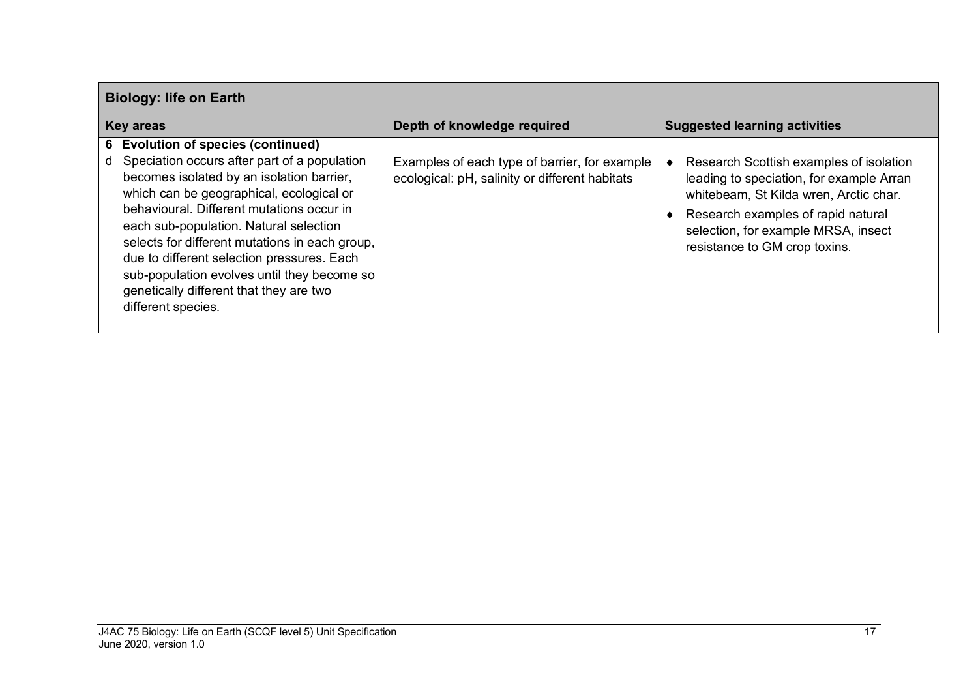|                  | <b>Biology: life on Earth</b>                                                                                                                                                                                                                                                                                                                                                                                                                                                      |                                                                                                 |  |                                                                                                                                                                                                                                             |  |
|------------------|------------------------------------------------------------------------------------------------------------------------------------------------------------------------------------------------------------------------------------------------------------------------------------------------------------------------------------------------------------------------------------------------------------------------------------------------------------------------------------|-------------------------------------------------------------------------------------------------|--|---------------------------------------------------------------------------------------------------------------------------------------------------------------------------------------------------------------------------------------------|--|
| <b>Key areas</b> |                                                                                                                                                                                                                                                                                                                                                                                                                                                                                    | Depth of knowledge required                                                                     |  | <b>Suggested learning activities</b>                                                                                                                                                                                                        |  |
| d                | 6 Evolution of species (continued)<br>Speciation occurs after part of a population<br>becomes isolated by an isolation barrier,<br>which can be geographical, ecological or<br>behavioural. Different mutations occur in<br>each sub-population. Natural selection<br>selects for different mutations in each group,<br>due to different selection pressures. Each<br>sub-population evolves until they become so<br>genetically different that they are two<br>different species. | Examples of each type of barrier, for example<br>ecological: pH, salinity or different habitats |  | Research Scottish examples of isolation<br>leading to speciation, for example Arran<br>whitebeam, St Kilda wren, Arctic char.<br>Research examples of rapid natural<br>selection, for example MRSA, insect<br>resistance to GM crop toxins. |  |